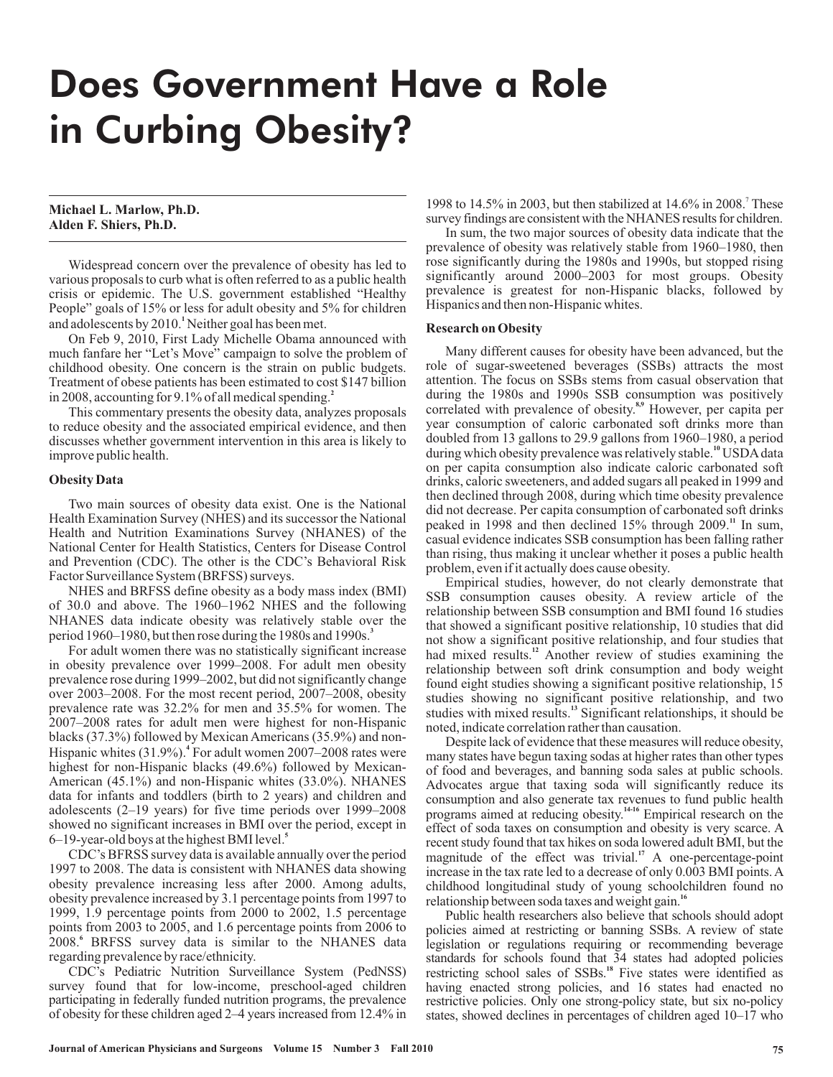# Does Government Have a Role in Curbing Obesity?

## **Michael L. Marlow, Ph.D. Alden F. Shiers, Ph.D.**

Widespread concern over the prevalence of obesity has led to various proposals to curb what is often referred to as a public health crisis or epidemic. The U.S. government established "Healthy People" goals of 15% or less for adult obesity and 5% for children and adolescents by 2010.<sup>1</sup> Neither goal has been met.

On Feb 9, 2010, First Lady Michelle Obama announced with much fanfare her "Let's Move" campaign to solve the problem of childhood obesity. One concern is the strain on public budgets. Treatment of obese patients has been estimated to cost \$147 billion in 2008, accounting for 9.1% of all medical spending. **2**

This commentary presents the obesity data, analyzes proposals to reduce obesity and the associated empirical evidence, and then discusses whether government intervention in this area is likely to improve public health.

## **Obesity Data**

Two main sources of obesity data exist. One is the National Health Examination Survey (NHES) and its successor the National Health and Nutrition Examinations Survey (NHANES) of the National Center for Health Statistics, Centers for Disease Control and Prevention (CDC). The other is the CDC's Behavioral Risk Factor Surveillance System (BRFSS) surveys.

NHES and BRFSS define obesity as a body mass index (BMI) of 30.0 and above. The 1960–1962 NHES and the following NHANES data indicate obesity was relatively stable over the period 1960–1980, but then rose during the 1980s and 1990s. **3**

For adult women there was no statistically significant increase in obesity prevalence over 1999–2008. For adult men obesity prevalence rose during 1999–2002, but did not significantly change over 2003–2008. For the most recent period, 2007–2008, obesity prevalence rate was 32.2% for men and 35.5% for women. The 2007–2008 rates for adult men were highest for non-Hispanic blacks (37.3%) followed by Mexican Americans (35.9%) and non-Hispanic whites (31.9%).<sup>4</sup> For adult women 2007-2008 rates were highest for non-Hispanic blacks (49.6%) followed by Mexican-American (45.1%) and non-Hispanic whites (33.0%). NHANES data for infants and toddlers (birth to 2 years) and children and adolescents (2–19 years) for five time periods over 1999–2008 showed no significant increases in BMI over the period, except in 6–19-year-old boys at the highest BMI level. **5**

CDC's BFRSS survey data is available annually over the period 1997 to 2008. The data is consistent with NHANES data showing obesity prevalence increasing less after 2000. Among adults, obesity prevalence increased by 3.1 percentage points from 1997 to 1999, 1.9 percentage points from  $2000$  to  $2002$ , 1.5 percentage points from 2003 to 2005, and 1.6 percentage points from 2006 to 2008.<sup>6</sup> BRFSS survey data is similar to the NHANES data regarding prevalence by race/ethnicity.

CDC's Pediatric Nutrition Surveillance System (PedNSS) survey found that for low-income, preschool-aged children participating in federally funded nutrition programs, the prevalence of obesity for these children aged 2–4 years increased from 12.4% in

1998 to 14.5% in 2003, but then stabilized at 14.6% in 2008.<sup>7</sup> These survey findings are consistent with the NHANES results for children.

In sum, the two major sources of obesity data indicate that the prevalence of obesity was relatively stable from 1960–1980, then rose significantly during the 1980s and 1990s, but stopped rising significantly around 2000–2003 for most groups. Obesity prevalence is greatest for non-Hispanic blacks, followed by Hispanics and then non-Hispanic whites.

## **Research on Obesity**

Many different causes for obesity have been advanced, but the role of sugar-sweetened beverages (SSBs) attracts the most attention. The focus on SSBs stems from casual observation that during the 1980s and 1990s SSB consumption was positively correlated with prevalence of obesity.<sup>8,9</sup> However, per capita per year consumption of caloric carbonated soft drinks more than doubled from 13 gallons to 29.9 gallons from 1960–1980, a period during which obesity prevalence was relatively stable.<sup>10</sup> USDA data on per capita consumption also indicate caloric carbonated soft drinks, caloric sweeteners, and added sugars all peaked in 1999 and then declined through 2008, during which time obesity prevalence did not decrease. Per capita consumption of carbonated soft drinks peaked in 1998 and then declined 15% through 2009.<sup>11</sup> In sum, casual evidence indicates SSB consumption has been falling rather than rising, thus making it unclear whether it poses a public health problem, even if it actually does cause obesity.

Empirical studies, however, do not clearly demonstrate that SSB consumption causes obesity. A review article of the relationship between SSB consumption and BMI found 16 studies that showed a significant positive relationship, 10 studies that did not show a significant positive relationship, and four studies that had mixed results.<sup>12</sup> Another review of studies examining the relationship between soft drink consumption and body weight found eight studies showing a significant positive relationship, 15 studies showing no significant positive relationship, and two studies with mixed results.<sup>13</sup> Significant relationships, it should be noted, indicate correlation rather than causation.

Despite lack of evidence that these measures will reduce obesity, many states have begun taxing sodas at higher rates than other types of food and beverages, and banning soda sales at public schools. Advocates argue that taxing soda will significantly reduce its consumption and also generate tax revenues to fund public health programs aimed at reducing obesity.<sup>14-16</sup> Empirical research on the effect of soda taxes on consumption and obesity is very scarce. A recent study found that tax hikes on soda lowered adult BMI, but the magnitude of the effect was trivial.<sup>17</sup> A one-percentage-point increase in the tax rate led to a decrease of only 0.003 BMI points. A childhood longitudinal study of young schoolchildren found no relationship between soda taxes and weight gain. **16**

Public health researchers also believe that schools should adopt policies aimed at restricting or banning SSBs. A review of state legislation or regulations requiring or recommending beverage standards for schools found that 34 states had adopted policies restricting school sales of SSBs.<sup>18</sup> Five states were identified as having enacted strong policies, and 16 states had enacted no restrictive policies. Only one strong-policy state, but six no-policy states, showed declines in percentages of children aged 10–17 who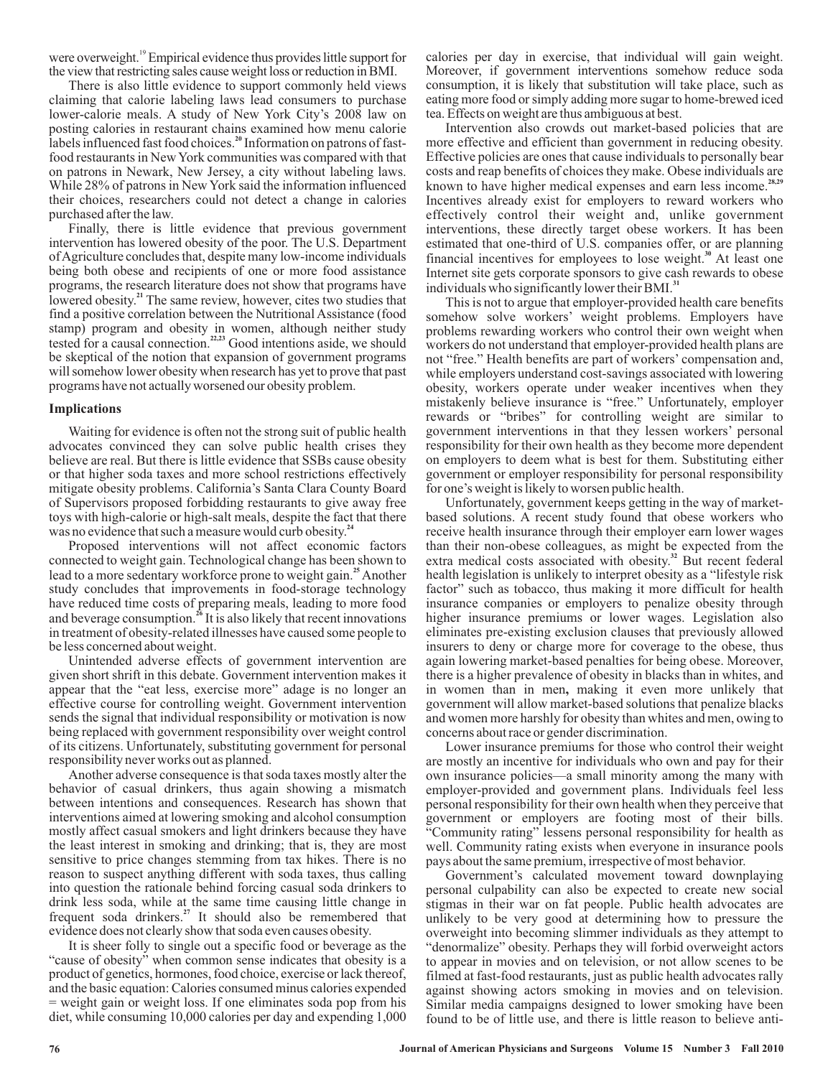were overweight.<sup>19</sup> Empirical evidence thus provides little support for the view that restricting sales cause weight loss or reduction in BMI.

There is also little evidence to support commonly held views claiming that calorie labeling laws lead consumers to purchase lower-calorie meals. A study of New York City's 2008 law on posting calories in restaurant chains examined how menu calorie labels influenced fast food choices.<sup>20</sup> Information on patrons of fastfood restaurants in New York communities was compared with that on patrons in Newark, New Jersey, a city without labeling laws. While 28% of patrons in New York said the information influenced their choices, researchers could not detect a change in calories purchased after the law.

Finally, there is little evidence that previous government intervention has lowered obesity of the poor. The U.S. Department ofAgriculture concludes that, despite many low-income individuals being both obese and recipients of one or more food assistance programs, the research literature does not show that programs have lowered obesity.<sup>21</sup> The same review, however, cites two studies that find a positive correlation between the Nutritional Assistance (food stamp) program and obesity in women, although neither study tested for a causal connection.<sup> $223$ </sup> Good intentions aside, we should be skeptical of the notion that expansion of government programs will somehow lower obesity when research has yet to prove that past programs have not actually worsened our obesity problem. **21 22,23**

## **Implications**

Waiting for evidence is often not the strong suit of public health advocates convinced they can solve public health crises they believe are real. But there is little evidence that SSBs cause obesity or that higher soda taxes and more school restrictions effectively mitigate obesity problems. California's Santa Clara County Board of Supervisors proposed forbidding restaurants to give away free toys with high-calorie or high-salt meals, despite the fact that there was no evidence that such a measure would curb obesity. **24**

Proposed interventions will not affect economic factors connected to weight gain. Technological change has been shown to lead to a more sedentary workforce prone to weight gain.<sup>25</sup> Another study concludes that improvements in food-storage technology have reduced time costs of preparing meals, leading to more food and beverage consumption.<sup>26</sup> It is also likely that recent innovations in treatment of obesity-related illnesses have caused some people to be less concerned about weight.

Unintended adverse effects of government intervention are given short shrift in this debate. Government intervention makes it appear that the "eat less, exercise more" adage is no longer an effective course for controlling weight. Government intervention sends the signal that individual responsibility or motivation is now being replaced with government responsibility over weight control of its citizens. Unfortunately, substituting government for personal responsibility never works out as planned.

Another adverse consequence is that soda taxes mostly alter the behavior of casual drinkers, thus again showing a mismatch between intentions and consequences. Research has shown that interventions aimed at lowering smoking and alcohol consumption mostly affect casual smokers and light drinkers because they have the least interest in smoking and drinking; that is, they are most sensitive to price changes stemming from tax hikes. There is no reason to suspect anything different with soda taxes, thus calling into question the rationale behind forcing casual soda drinkers to drink less soda, while at the same time causing little change in frequent soda drinkers.<sup>27</sup> It should also be remembered that evidence does not clearly show that soda even causes obesity.

It is sheer folly to single out a specific food or beverage as the "cause of obesity" when common sense indicates that obesity is a product of genetics, hormones, food choice, exercise or lack thereof, and the basic equation: Calories consumed minus calories expended = weight gain or weight loss. If one eliminates soda pop from his diet, while consuming 10,000 calories per day and expending 1,000 calories per day in exercise, that individual will gain weight. Moreover, if government interventions somehow reduce soda consumption, it is likely that substitution will take place, such as eating more food or simply adding more sugar to home-brewed iced tea. Effects on weight are thus ambiguous at best.

Intervention also crowds out market-based policies that are more effective and efficient than government in reducing obesity. Effective policies are ones that cause individuals to personally bear costs and reap benefits of choices they make. Obese individuals are known to have higher medical expenses and earn less income. **28,29** Incentives already exist for employers to reward workers who effectively control their weight and, unlike government interventions, these directly target obese workers. It has been estimated that one-third of U.S. companies offer, or are planning financial incentives for employees to lose weight.<sup>30</sup> At least one Internet site gets corporate sponsors to give cash rewards to obese individuals who significantly lower their BMI. **31**

This is not to argue that employer-provided health care benefits somehow solve workers' weight problems. Employers have problems rewarding workers who control their own weight when workers do not understand that employer-provided health plans are not "free." Health benefits are part of workers' compensation and, while employers understand cost-savings associated with lowering obesity, workers operate under weaker incentives when they mistakenly believe insurance is "free." Unfortunately, employer rewards or "bribes" for controlling weight are similar to government interventions in that they lessen workers' personal responsibility for their own health as they become more dependent on employers to deem what is best for them. Substituting either government or employer responsibility for personal responsibility for one's weight is likely to worsen public health.

Unfortunately, government keeps getting in the way of marketbased solutions. A recent study found that obese workers who receive health insurance through their employer earn lower wages than their non-obese colleagues, as might be expected from the extra medical costs associated with obesity.<sup>32</sup> But recent federal health legislation is unlikely to interpret obesity as a "lifestyle risk factor" such as tobacco, thus making it more difficult for health insurance companies or employers to penalize obesity through higher insurance premiums or lower wages. Legislation also eliminates pre-existing exclusion clauses that previously allowed insurers to deny or charge more for coverage to the obese, thus again lowering market-based penalties for being obese. Moreover, there is a higher prevalence of obesity in blacks than in whites, and in women than in men, making it even more unlikely that government will allow market-based solutions that penalize blacks and women more harshly for obesity than whites and men, owing to concerns about race or gender discrimination.

Lower insurance premiums for those who control their weight are mostly an incentive for individuals who own and pay for their own insurance policies—a small minority among the many with employer-provided and government plans. Individuals feel less personal responsibility for their own health when they perceive that government or employers are footing most of their bills. "Community rating" lessens personal responsibility for health as well. Community rating exists when everyone in insurance pools pays about the same premium, irrespective of most behavior.

Government's calculated movement toward downplaying personal culpability can also be expected to create new social stigmas in their war on fat people. Public health advocates are unlikely to be very good at determining how to pressure the overweight into becoming slimmer individuals as they attempt to "denormalize" obesity. Perhaps they will forbid overweight actors to appear in movies and on television, or not allow scenes to be filmed at fast-food restaurants, just as public health advocates rally against showing actors smoking in movies and on television. Similar media campaigns designed to lower smoking have been found to be of little use, and there is little reason to believe anti-